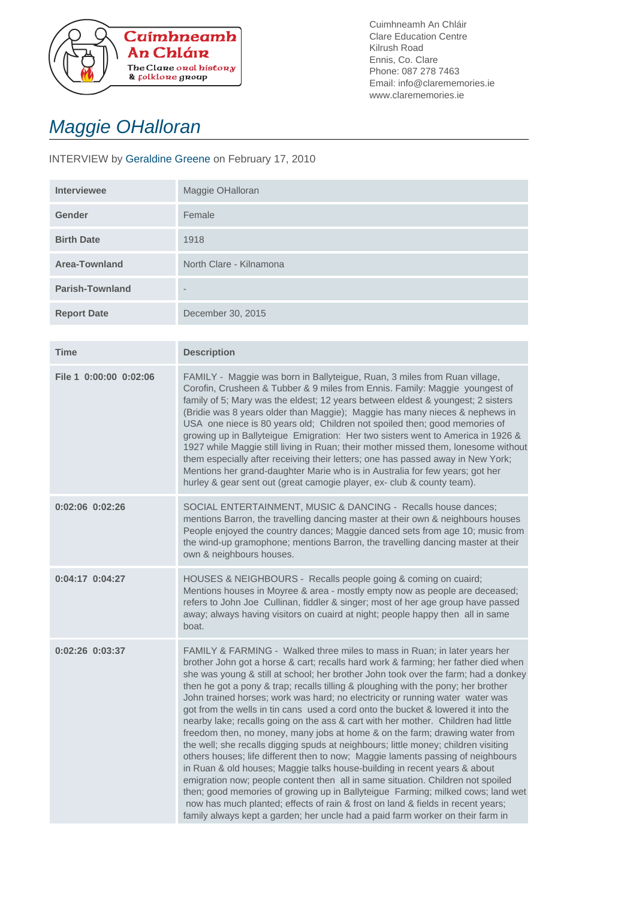

Cuimhneamh An Chláir Clare Education Centre Kilrush Road Ennis, Co. Clare Phone: 087 278 7463 Email: info@clarememories.ie www.clarememories.ie

## Maggie OHalloran

## INTERVIEW by Geraldine Greene on February 17, 2010

| <b>Interviewee</b>     | Maggie OHalloran        |
|------------------------|-------------------------|
| <b>Gender</b>          | Female                  |
| <b>Birth Date</b>      | 1918                    |
| Area-Townland          | North Clare - Kilnamona |
| <b>Parish-Townland</b> | $\qquad \qquad$         |
| <b>Report Date</b>     | December 30, 2015       |

| <b>Time</b>            | <b>Description</b>                                                                                                                                                                                                                                                                                                                                                                                                                                                                                                                                                                                                                                                                                                                                                                                                                                                                                                                                                                                                                                                                                                                                                                                                                                                                   |
|------------------------|--------------------------------------------------------------------------------------------------------------------------------------------------------------------------------------------------------------------------------------------------------------------------------------------------------------------------------------------------------------------------------------------------------------------------------------------------------------------------------------------------------------------------------------------------------------------------------------------------------------------------------------------------------------------------------------------------------------------------------------------------------------------------------------------------------------------------------------------------------------------------------------------------------------------------------------------------------------------------------------------------------------------------------------------------------------------------------------------------------------------------------------------------------------------------------------------------------------------------------------------------------------------------------------|
| File 1 0:00:00 0:02:06 | FAMILY - Maggie was born in Ballyteigue, Ruan, 3 miles from Ruan village,<br>Corofin, Crusheen & Tubber & 9 miles from Ennis. Family: Maggie youngest of<br>family of 5; Mary was the eldest; 12 years between eldest & youngest; 2 sisters<br>(Bridie was 8 years older than Maggie); Maggie has many nieces & nephews in<br>USA one niece is 80 years old; Children not spoiled then; good memories of<br>growing up in Ballyteigue Emigration: Her two sisters went to America in 1926 &<br>1927 while Maggie still living in Ruan; their mother missed them, lonesome without<br>them especially after receiving their letters; one has passed away in New York;<br>Mentions her grand-daughter Marie who is in Australia for few years; got her<br>hurley & gear sent out (great camogie player, ex- club & county team).                                                                                                                                                                                                                                                                                                                                                                                                                                                       |
| 0:02:06 0:02:26        | SOCIAL ENTERTAINMENT, MUSIC & DANCING - Recalls house dances;<br>mentions Barron, the travelling dancing master at their own & neighbours houses<br>People enjoyed the country dances; Maggie danced sets from age 10; music from<br>the wind-up gramophone; mentions Barron, the travelling dancing master at their<br>own & neighbours houses.                                                                                                                                                                                                                                                                                                                                                                                                                                                                                                                                                                                                                                                                                                                                                                                                                                                                                                                                     |
| 0:04:17 0:04:27        | HOUSES & NEIGHBOURS - Recalls people going & coming on cuaird;<br>Mentions houses in Moyree & area - mostly empty now as people are deceased;<br>refers to John Joe Cullinan, fiddler & singer; most of her age group have passed<br>away; always having visitors on cuaird at night; people happy then all in same<br>boat.                                                                                                                                                                                                                                                                                                                                                                                                                                                                                                                                                                                                                                                                                                                                                                                                                                                                                                                                                         |
| $0:02:26$ $0:03:37$    | FAMILY & FARMING - Walked three miles to mass in Ruan; in later years her<br>brother John got a horse & cart; recalls hard work & farming; her father died when<br>she was young & still at school; her brother John took over the farm; had a donkey<br>then he got a pony & trap; recalls tilling & ploughing with the pony; her brother<br>John trained horses; work was hard; no electricity or running water water was<br>got from the wells in tin cans used a cord onto the bucket & lowered it into the<br>nearby lake; recalls going on the ass & cart with her mother. Children had little<br>freedom then, no money, many jobs at home & on the farm; drawing water from<br>the well; she recalls digging spuds at neighbours; little money; children visiting<br>others houses; life different then to now; Maggie laments passing of neighbours<br>in Ruan & old houses; Maggie talks house-building in recent years & about<br>emigration now; people content then all in same situation. Children not spoiled<br>then; good memories of growing up in Ballyteigue Farming; milked cows; land wet<br>now has much planted; effects of rain & frost on land & fields in recent years;<br>family always kept a garden; her uncle had a paid farm worker on their farm in |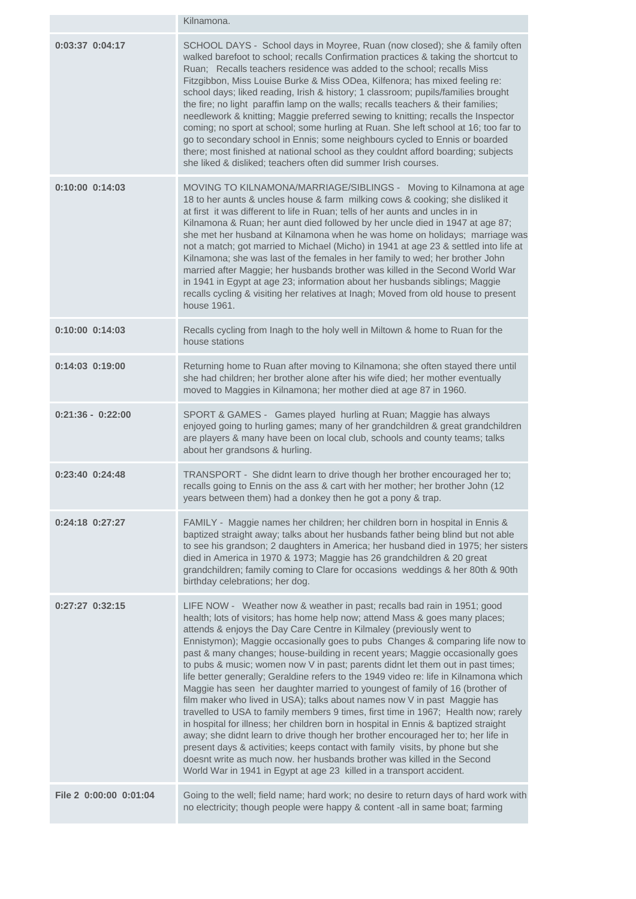|                        | Kilnamona.                                                                                                                                                                                                                                                                                                                                                                                                                                                                                                                                                                                                                                                                                                                                                                                                                                                                                                                                                                                                                                                                                                                                                                                                                                      |
|------------------------|-------------------------------------------------------------------------------------------------------------------------------------------------------------------------------------------------------------------------------------------------------------------------------------------------------------------------------------------------------------------------------------------------------------------------------------------------------------------------------------------------------------------------------------------------------------------------------------------------------------------------------------------------------------------------------------------------------------------------------------------------------------------------------------------------------------------------------------------------------------------------------------------------------------------------------------------------------------------------------------------------------------------------------------------------------------------------------------------------------------------------------------------------------------------------------------------------------------------------------------------------|
| 0:03:37 0:04:17        | SCHOOL DAYS - School days in Moyree, Ruan (now closed); she & family often<br>walked barefoot to school; recalls Confirmation practices & taking the shortcut to<br>Ruan; Recalls teachers residence was added to the school; recalls Miss<br>Fitzgibbon, Miss Louise Burke & Miss ODea, Kilfenora; has mixed feeling re:<br>school days; liked reading, Irish & history; 1 classroom; pupils/families brought<br>the fire; no light paraffin lamp on the walls; recalls teachers & their families;<br>needlework & knitting; Maggie preferred sewing to knitting; recalls the Inspector<br>coming; no sport at school; some hurling at Ruan. She left school at 16; too far to<br>go to secondary school in Ennis; some neighbours cycled to Ennis or boarded<br>there; most finished at national school as they couldnt afford boarding; subjects<br>she liked & disliked; teachers often did summer Irish courses.                                                                                                                                                                                                                                                                                                                           |
| 0:10:00 0:14:03        | MOVING TO KILNAMONA/MARRIAGE/SIBLINGS - Moving to Kilnamona at age<br>18 to her aunts & uncles house & farm milking cows & cooking; she disliked it<br>at first it was different to life in Ruan; tells of her aunts and uncles in in<br>Kilnamona & Ruan; her aunt died followed by her uncle died in 1947 at age 87;<br>she met her husband at Kilnamona when he was home on holidays; marriage was<br>not a match; got married to Michael (Micho) in 1941 at age 23 & settled into life at<br>Kilnamona; she was last of the females in her family to wed; her brother John<br>married after Maggie; her husbands brother was killed in the Second World War<br>in 1941 in Egypt at age 23; information about her husbands siblings; Maggie<br>recalls cycling & visiting her relatives at Inagh; Moved from old house to present<br>house 1961.                                                                                                                                                                                                                                                                                                                                                                                             |
| $0:10:00$ $0:14:03$    | Recalls cycling from Inagh to the holy well in Miltown & home to Ruan for the<br>house stations                                                                                                                                                                                                                                                                                                                                                                                                                                                                                                                                                                                                                                                                                                                                                                                                                                                                                                                                                                                                                                                                                                                                                 |
| $0:14:03$ $0:19:00$    | Returning home to Ruan after moving to Kilnamona; she often stayed there until<br>she had children; her brother alone after his wife died; her mother eventually<br>moved to Maggies in Kilnamona; her mother died at age 87 in 1960.                                                                                                                                                                                                                                                                                                                                                                                                                                                                                                                                                                                                                                                                                                                                                                                                                                                                                                                                                                                                           |
| $0:21:36 - 0:22:00$    | SPORT & GAMES - Games played hurling at Ruan; Maggie has always<br>enjoyed going to hurling games; many of her grandchildren & great grandchildren<br>are players & many have been on local club, schools and county teams; talks<br>about her grandsons & hurling.                                                                                                                                                                                                                                                                                                                                                                                                                                                                                                                                                                                                                                                                                                                                                                                                                                                                                                                                                                             |
| $0:23:40$ $0:24:48$    | TRANSPORT - She didnt learn to drive though her brother encouraged her to;<br>recalls going to Ennis on the ass & cart with her mother; her brother John (12<br>years between them) had a donkey then he got a pony & trap.                                                                                                                                                                                                                                                                                                                                                                                                                                                                                                                                                                                                                                                                                                                                                                                                                                                                                                                                                                                                                     |
| $0:24:18$ $0:27:27$    | FAMILY - Maggie names her children; her children born in hospital in Ennis &<br>baptized straight away; talks about her husbands father being blind but not able<br>to see his grandson; 2 daughters in America; her husband died in 1975; her sisters<br>died in America in 1970 & 1973; Maggie has 26 grandchildren & 20 great<br>grandchildren; family coming to Clare for occasions weddings & her 80th & 90th<br>birthday celebrations; her dog.                                                                                                                                                                                                                                                                                                                                                                                                                                                                                                                                                                                                                                                                                                                                                                                           |
| 0:27:27 0:32:15        | LIFE NOW - Weather now & weather in past; recalls bad rain in 1951; good<br>health; lots of visitors; has home help now; attend Mass & goes many places;<br>attends & enjoys the Day Care Centre in Kilmaley (previously went to<br>Ennistymon); Maggie occasionally goes to pubs Changes & comparing life now to<br>past & many changes; house-building in recent years; Maggie occasionally goes<br>to pubs & music; women now V in past; parents didnt let them out in past times;<br>life better generally; Geraldine refers to the 1949 video re: life in Kilnamona which<br>Maggie has seen her daughter married to youngest of family of 16 (brother of<br>film maker who lived in USA); talks about names now V in past Maggie has<br>travelled to USA to family members 9 times, first time in 1967; Health now; rarely<br>in hospital for illness; her children born in hospital in Ennis & baptized straight<br>away; she didnt learn to drive though her brother encouraged her to; her life in<br>present days & activities; keeps contact with family visits, by phone but she<br>doesnt write as much now. her husbands brother was killed in the Second<br>World War in 1941 in Egypt at age 23 killed in a transport accident. |
| File 2 0:00:00 0:01:04 | Going to the well; field name; hard work; no desire to return days of hard work with<br>no electricity; though people were happy & content -all in same boat; farming                                                                                                                                                                                                                                                                                                                                                                                                                                                                                                                                                                                                                                                                                                                                                                                                                                                                                                                                                                                                                                                                           |